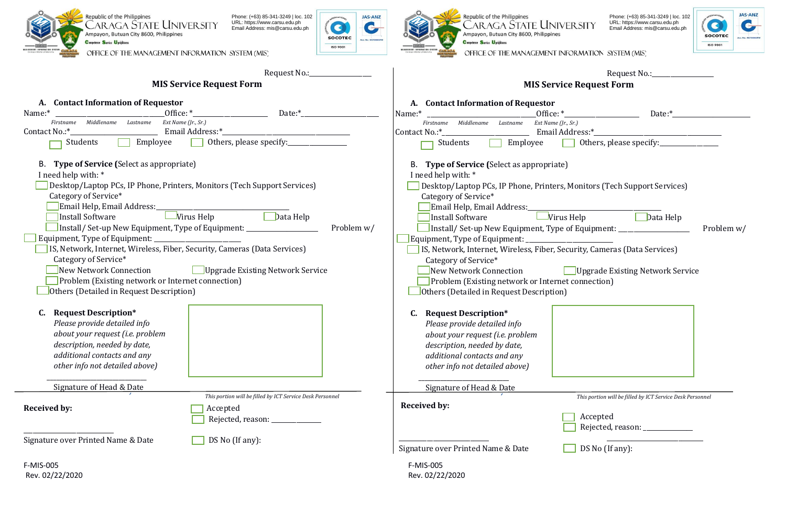



 $\sim$ 

O

**ISO 9001** 



Phone: (+63) 85-341-3249 | loc. 102 URL: https://www.carsu.edu.ph Email Address: mis@carsu.edu.ph



OFFICE OF THE MANAGEMENT INFORMATION SYSTEM (MIS)

|                                                                                                                                                                                                                                                                                                                                                                                                                                              | Request No.:__                                                                                                                                                                                                                              |                                                                                                                                                                                                                                                                                                | Request No.: _______________                                                                                                                                                                                                                                                                                                         |
|----------------------------------------------------------------------------------------------------------------------------------------------------------------------------------------------------------------------------------------------------------------------------------------------------------------------------------------------------------------------------------------------------------------------------------------------|---------------------------------------------------------------------------------------------------------------------------------------------------------------------------------------------------------------------------------------------|------------------------------------------------------------------------------------------------------------------------------------------------------------------------------------------------------------------------------------------------------------------------------------------------|--------------------------------------------------------------------------------------------------------------------------------------------------------------------------------------------------------------------------------------------------------------------------------------------------------------------------------------|
|                                                                                                                                                                                                                                                                                                                                                                                                                                              | <b>MIS Service Request Form</b>                                                                                                                                                                                                             |                                                                                                                                                                                                                                                                                                | <b>MIS Service Request Form</b>                                                                                                                                                                                                                                                                                                      |
| A. Contact Information of Requestor<br>Name:*<br>Firstname Middlename Lastname Ext Name (Jr., Sr.)<br>Contact No.:*_<br>Students<br>Employee                                                                                                                                                                                                                                                                                                 | $Date:$ <sup>*</sup><br>Office: *<br>Email Address:*_<br>Others, please specify:                                                                                                                                                            | A. Contact Information of Requestor<br>Name:*<br>Firstname Middlename Lastname<br>Contact No.:*_<br>Employee<br>Students<br><b>The Second</b>                                                                                                                                                  | Office: $*$<br>Date:*<br>Ext Name (Jr., Sr.)<br>Email Address:*__<br>Others, please specify:                                                                                                                                                                                                                                         |
| B. Type of Service (Select as appropriate)<br>I need help with: *<br>Category of Service*<br>Email Help, Email Address:<br>Install Software<br>Equipment, Type of Equipment: ________________________<br>IS, Network, Internet, Wireless, Fiber, Security, Cameras (Data Services)<br>Category of Service*<br>New Network Connection<br><b>Problem (Existing network or Internet connection)</b><br>Others (Detailed in Request Description) | <b>Desktop/Laptop PCs, IP Phone, Printers, Monitors (Tech Support Services)</b><br>Data Help<br>$\Box$ Virus Help<br>Problem w/<br>Install/ Set-up New Equipment, Type of Equipment: __________________<br>Upgrade Existing Network Service | B. Type of Service (Select as appropriate)<br>I need help with: *<br>Category of Service*<br>Email Help, Email Address:<br>Install Software<br>Category of Service*<br>New Network Connection<br>Problem (Existing network or Internet connection)<br>Others (Detailed in Request Description) | Desktop/Laptop PCs, IP Phone, Printers, Monitors (Tech Support Services)<br>$\Box$ Data Help<br>$\Box$ Virus Help<br>Problem w/<br>Install/ Set-up New Equipment, Type of Equipment: ______________________________<br>IS, Network, Internet, Wireless, Fiber, Security, Cameras (Data Services)<br>Upgrade Existing Network Service |
| <b>Request Description*</b><br>C.<br>Please provide detailed info<br>about your request (i.e. problem<br>description, needed by date,<br>additional contacts and any<br>other info not detailed above)<br>Signature of Head & Date                                                                                                                                                                                                           |                                                                                                                                                                                                                                             | C. Request Description*<br>Please provide detailed info<br>about your request (i.e. problem<br>description, needed by date,<br>additional contacts and any<br>other info not detailed above)                                                                                                   |                                                                                                                                                                                                                                                                                                                                      |
| <b>Received by:</b>                                                                                                                                                                                                                                                                                                                                                                                                                          | This portion will be filled by ICT Service Desk Personnel<br>Accepted<br>Rejected, reason: _____________                                                                                                                                    | Signature of Head & Date<br><b>Received by:</b>                                                                                                                                                                                                                                                | This portion will be filled by ICT Service Desk Personnel<br>Accepted<br>Rejected, reason: _____________                                                                                                                                                                                                                             |
| Signature over Printed Name & Date                                                                                                                                                                                                                                                                                                                                                                                                           | DS No (If any):                                                                                                                                                                                                                             | Signature over Printed Name & Date                                                                                                                                                                                                                                                             | DS No (If any):                                                                                                                                                                                                                                                                                                                      |
| F-MIS-005<br>Rev. 02/22/2020                                                                                                                                                                                                                                                                                                                                                                                                                 |                                                                                                                                                                                                                                             | F-MIS-005<br>Rev. 02/22/2020                                                                                                                                                                                                                                                                   |                                                                                                                                                                                                                                                                                                                                      |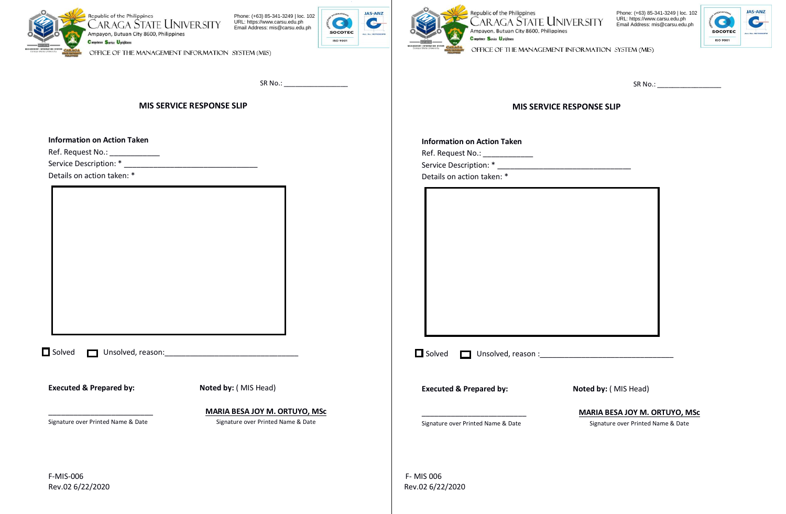

**Information on Action Taken**

Ref. Request No.: Service Description: \* Details on action taken: \*

**JAS-ANZ**  $\bullet$  $\mathbf{C}$ **SOCOTEC** Acc. No.: M2700 **ISO 9001** 

SR No.: \_\_\_\_\_\_\_\_\_\_\_\_\_\_\_\_\_



Republic of the Philippines<br>CARAGA STATE UNIVERSITY Phone: (+63) 85-341-3249 | loc. 102 URL: https://www.carsu.edu.ph Email Address: mis@carsu.edu.ph Ampayon, Butuan City 8600, Philippines



OFFICE OF THE MANAGEMENT INFORMATION SYSTEM (MIS)

SR No.: \_\_\_\_\_\_\_\_\_\_\_\_\_\_\_\_\_

## **MIS SERVICE RESPONSE SLIP**

#### **Information on Action Taken**

Ref. Request No.: \_\_\_\_\_\_\_\_\_\_\_\_\_\_\_

Service Description: \*

Details on action taken: \*

| $\Box$ Solved | Unsolved, reason:                  |                                      |
|---------------|------------------------------------|--------------------------------------|
|               | <b>Executed &amp; Prepared by:</b> | Noted by: (MIS Head)                 |
|               |                                    | <b>MARIA BESA JOY M. ORTUYO, MSC</b> |
|               | Signature over Printed Name & Date | Signature over Printed Name & Date   |

**MIS SERVICE RESPONSE SLIP**

 Solved Unsolved, reason :\_\_\_\_\_\_\_\_\_\_\_\_\_\_\_\_\_\_\_\_\_\_\_\_\_\_\_\_\_\_\_\_ **Executed & Prepared by: Noted by:** (MIS Head) Signature over Printed Name & Date Signature over Printed Name & Date

\_\_\_\_\_\_\_\_\_\_\_\_\_\_\_\_\_\_\_\_\_\_\_\_\_ **MARIA BESA JOY M. ORTUYO, MSc**

Rev.02 6/22/2020 Rev.02 6/22/2020

F-MIS-006 F- MIS 006